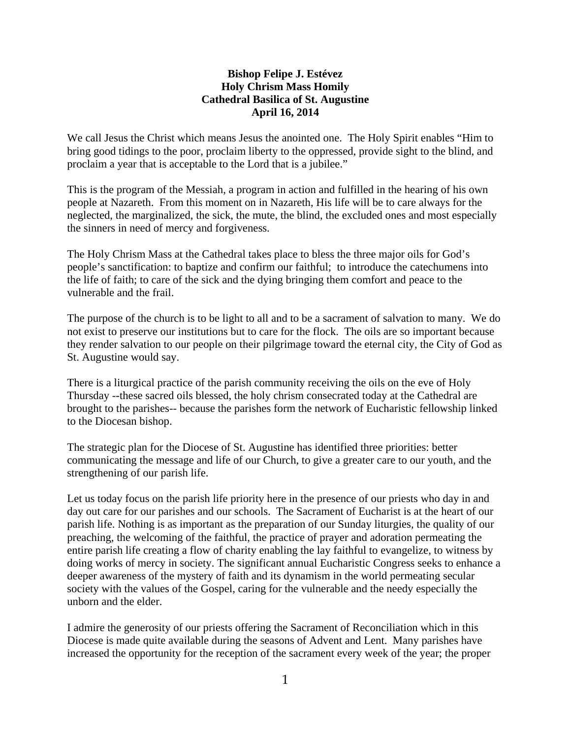## **Bishop Felipe J. Estévez Holy Chrism Mass Homily Cathedral Basilica of St. Augustine April 16, 2014**

We call Jesus the Christ which means Jesus the anointed one. The Holy Spirit enables "Him to bring good tidings to the poor, proclaim liberty to the oppressed, provide sight to the blind, and proclaim a year that is acceptable to the Lord that is a jubilee."

This is the program of the Messiah, a program in action and fulfilled in the hearing of his own people at Nazareth. From this moment on in Nazareth, His life will be to care always for the neglected, the marginalized, the sick, the mute, the blind, the excluded ones and most especially the sinners in need of mercy and forgiveness.

The Holy Chrism Mass at the Cathedral takes place to bless the three major oils for God's people's sanctification: to baptize and confirm our faithful; to introduce the catechumens into the life of faith; to care of the sick and the dying bringing them comfort and peace to the vulnerable and the frail.

The purpose of the church is to be light to all and to be a sacrament of salvation to many. We do not exist to preserve our institutions but to care for the flock. The oils are so important because they render salvation to our people on their pilgrimage toward the eternal city, the City of God as St. Augustine would say.

There is a liturgical practice of the parish community receiving the oils on the eve of Holy Thursday --these sacred oils blessed, the holy chrism consecrated today at the Cathedral are brought to the parishes-- because the parishes form the network of Eucharistic fellowship linked to the Diocesan bishop.

The strategic plan for the Diocese of St. Augustine has identified three priorities: better communicating the message and life of our Church, to give a greater care to our youth, and the strengthening of our parish life.

Let us today focus on the parish life priority here in the presence of our priests who day in and day out care for our parishes and our schools. The Sacrament of Eucharist is at the heart of our parish life. Nothing is as important as the preparation of our Sunday liturgies, the quality of our preaching, the welcoming of the faithful, the practice of prayer and adoration permeating the entire parish life creating a flow of charity enabling the lay faithful to evangelize, to witness by doing works of mercy in society. The significant annual Eucharistic Congress seeks to enhance a deeper awareness of the mystery of faith and its dynamism in the world permeating secular society with the values of the Gospel, caring for the vulnerable and the needy especially the unborn and the elder.

I admire the generosity of our priests offering the Sacrament of Reconciliation which in this Diocese is made quite available during the seasons of Advent and Lent. Many parishes have increased the opportunity for the reception of the sacrament every week of the year; the proper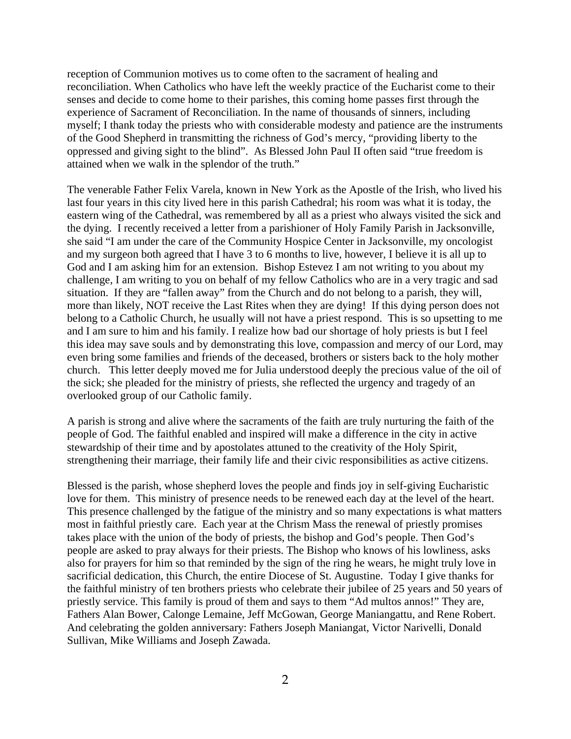reception of Communion motives us to come often to the sacrament of healing and reconciliation. When Catholics who have left the weekly practice of the Eucharist come to their senses and decide to come home to their parishes, this coming home passes first through the experience of Sacrament of Reconciliation. In the name of thousands of sinners, including myself; I thank today the priests who with considerable modesty and patience are the instruments of the Good Shepherd in transmitting the richness of God's mercy, "providing liberty to the oppressed and giving sight to the blind". As Blessed John Paul II often said "true freedom is attained when we walk in the splendor of the truth."

The venerable Father Felix Varela, known in New York as the Apostle of the Irish, who lived his last four years in this city lived here in this parish Cathedral; his room was what it is today, the eastern wing of the Cathedral, was remembered by all as a priest who always visited the sick and the dying. I recently received a letter from a parishioner of Holy Family Parish in Jacksonville, she said "I am under the care of the Community Hospice Center in Jacksonville, my oncologist and my surgeon both agreed that I have 3 to 6 months to live, however, I believe it is all up to God and I am asking him for an extension. Bishop Estevez I am not writing to you about my challenge, I am writing to you on behalf of my fellow Catholics who are in a very tragic and sad situation. If they are "fallen away" from the Church and do not belong to a parish, they will, more than likely, NOT receive the Last Rites when they are dying! If this dying person does not belong to a Catholic Church, he usually will not have a priest respond. This is so upsetting to me and I am sure to him and his family. I realize how bad our shortage of holy priests is but I feel this idea may save souls and by demonstrating this love, compassion and mercy of our Lord, may even bring some families and friends of the deceased, brothers or sisters back to the holy mother church. This letter deeply moved me for Julia understood deeply the precious value of the oil of the sick; she pleaded for the ministry of priests, she reflected the urgency and tragedy of an overlooked group of our Catholic family.

A parish is strong and alive where the sacraments of the faith are truly nurturing the faith of the people of God. The faithful enabled and inspired will make a difference in the city in active stewardship of their time and by apostolates attuned to the creativity of the Holy Spirit, strengthening their marriage, their family life and their civic responsibilities as active citizens.

Blessed is the parish, whose shepherd loves the people and finds joy in self-giving Eucharistic love for them. This ministry of presence needs to be renewed each day at the level of the heart. This presence challenged by the fatigue of the ministry and so many expectations is what matters most in faithful priestly care. Each year at the Chrism Mass the renewal of priestly promises takes place with the union of the body of priests, the bishop and God's people. Then God's people are asked to pray always for their priests. The Bishop who knows of his lowliness, asks also for prayers for him so that reminded by the sign of the ring he wears, he might truly love in sacrificial dedication, this Church, the entire Diocese of St. Augustine. Today I give thanks for the faithful ministry of ten brothers priests who celebrate their jubilee of 25 years and 50 years of priestly service. This family is proud of them and says to them "Ad multos annos!" They are, Fathers Alan Bower, Calonge Lemaine, Jeff McGowan, George Maniangattu, and Rene Robert. And celebrating the golden anniversary: Fathers Joseph Maniangat, Victor Narivelli, Donald Sullivan, Mike Williams and Joseph Zawada.